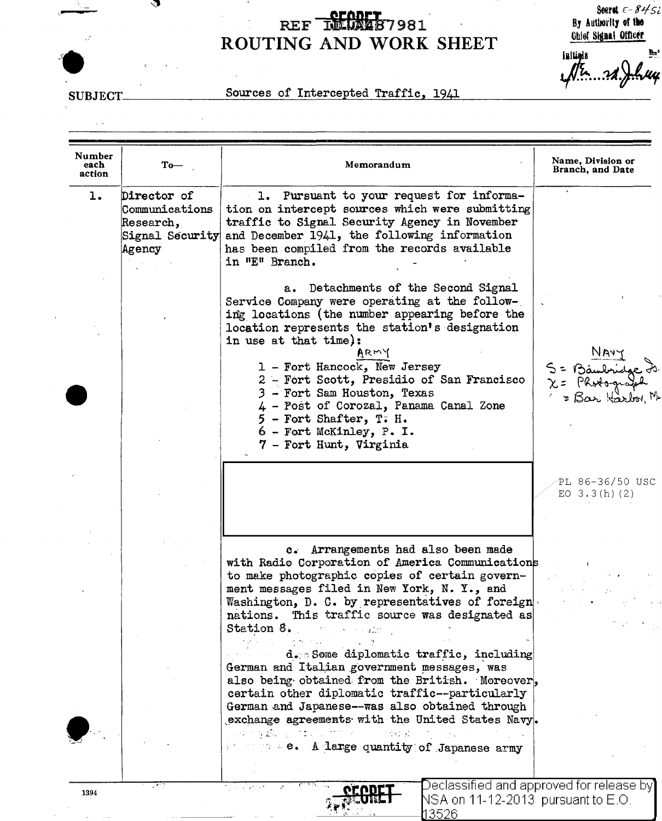## REF REGALIST 981  $\epsilon$ ROUTING AND WORK SHEET

Seeret  $\epsilon - 8455$ By Authority of the Chief Signal Officer

Initials h,  $1/5.32$ l uy

**SUBJECT** 

 $\sim$   $\sim$ 

จ

l.

## Sources of Intercepted Traffic, 1941

| Director of<br>1. Pursuant to your request for informa-<br>1.<br>tion on intercept sources which were submitting<br>Communications<br>traffic to Signal Security Agency in November<br>Research,<br>and December 1941, the following information<br>Signal Security<br>has been compiled from the records available<br>Agency<br>in "E" Branch.<br>a. Detachments of the Second Signal<br>Service Company were operating at the follow-<br>ing locations (the number appearing before the<br>location represents the station's designation<br>in use at that time):<br>ARMY<br>1 - Fort Hancock, New Jersey<br>2 - Fort Scott, Presidio of San Francisco<br>3 - Fort Sam Houston, Texas<br>4 - Post of Corozal, Panama Canal Zone<br>$5$ - Fort Shafter, T. H.<br>6 - Fort McKinley, P.I.<br>7 - Fort Hunt, Virginia<br>c. Arrangements had also been made<br>with Radio Corporation of America Communications<br>to make photographic copies of certain govern-<br>ment messages filed in New York, N. Y., and<br>Washington, D. C. by representatives of foreign<br>nations. This traffic source was designated as<br>Station 8. The contract of the state of the state of the state of the state of the state of the state of the state of the state of the state of the state of the state of the state of the state of the state of the state of<br>d. Some diplomatic traffic, including<br>German and Italian government messages, was<br>also being obtained from the British. Moreover, | Number<br>each<br>action | $To-$ | Memorandum                                     | Name, Division or<br>Branch, and Date                             |
|--------------------------------------------------------------------------------------------------------------------------------------------------------------------------------------------------------------------------------------------------------------------------------------------------------------------------------------------------------------------------------------------------------------------------------------------------------------------------------------------------------------------------------------------------------------------------------------------------------------------------------------------------------------------------------------------------------------------------------------------------------------------------------------------------------------------------------------------------------------------------------------------------------------------------------------------------------------------------------------------------------------------------------------------------------------------------------------------------------------------------------------------------------------------------------------------------------------------------------------------------------------------------------------------------------------------------------------------------------------------------------------------------------------------------------------------------------------------------------------------------|--------------------------|-------|------------------------------------------------|-------------------------------------------------------------------|
|                                                                                                                                                                                                                                                                                                                                                                                                                                                                                                                                                                                                                                                                                                                                                                                                                                                                                                                                                                                                                                                                                                                                                                                                                                                                                                                                                                                                                                                                                                  |                          |       |                                                |                                                                   |
|                                                                                                                                                                                                                                                                                                                                                                                                                                                                                                                                                                                                                                                                                                                                                                                                                                                                                                                                                                                                                                                                                                                                                                                                                                                                                                                                                                                                                                                                                                  |                          |       |                                                | $S =$ Baubridge $\vec{\sigma}$<br>X = Photograp<br>= Bar Harbor N |
|                                                                                                                                                                                                                                                                                                                                                                                                                                                                                                                                                                                                                                                                                                                                                                                                                                                                                                                                                                                                                                                                                                                                                                                                                                                                                                                                                                                                                                                                                                  |                          |       |                                                | PL 86-36/50 USC<br>EO $3.3(h)$ (2)                                |
| German and Japanese--was also obtained through<br>exchange agreements with the United States Navy.<br>これがなね そうねん サウイト<br><b>CONTRACTOR</b><br>where $\mathbf{A}$ large quantity of Japanese army                                                                                                                                                                                                                                                                                                                                                                                                                                                                                                                                                                                                                                                                                                                                                                                                                                                                                                                                                                                                                                                                                                                                                                                                                                                                                                 |                          |       | certain other diplomatic traffic--particularly |                                                                   |